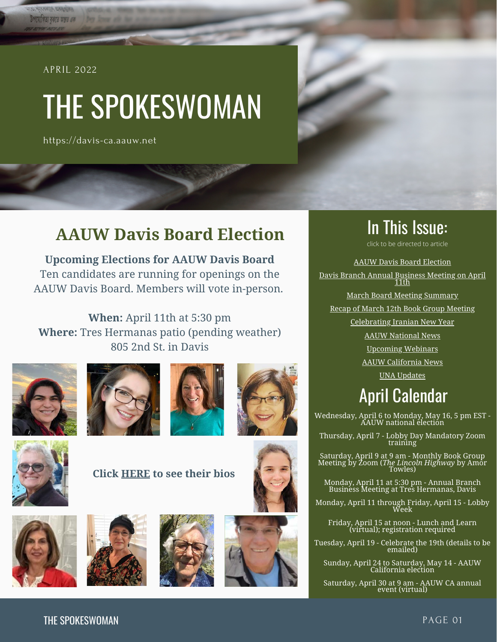#### APRIL 2022

<span id="page-0-0"></span>উপযোগিতা বৰাতে অন্তত এক

# THE SPOKESWOMAN

https://davis-ca.aauw.net

## **AAUW Davis Board Election**

**Upcoming Elections for AAUW Davis Board** [Ten candidates](https://aauw-ca.us2.list-manage.com/track/click?u=19f3eb2a88f3e5cfe13cf7d2e&id=44474b6f51&e=7cbc2be9d1) are running for openings on the AAUW Davis Board. Members will vote in-person.

**When:** April 11th at 5:30 pm **Where:** Tres Hermanas patio (pending weather) 805 2nd St. in Davis











**Click [HERE](https://davis-ca.aauw.net/files/2022/04/Davis-Board-Candidates.pdf) to see their bios**











In This Issue: click to be directed to article

[AAUW Davis Board Election](#page-0-0) [Davis Branch Annual Business Meeting on April](#page-1-0) 11th [March Board Meeting Summary](#page-1-0) [Recap of March 12th Book Group Meeting](#page-2-0) [Celebrating Iranian New Year](#page-4-0) [AAUW National News](#page-5-0)

[Upcoming Webinars](#page-6-0)

[AAUW California News](#page-6-0)

[UNA Updates](#page-8-0)

## April Calendar

Wednesday, April 6 to Monday, May 16, 5 pm EST - AAUW national election

Thursday, April 7 - Lobby Day Mandatory Zoom training

Saturday, April 9 at 9 am - Monthly Book Group Meeting by Zoom (*The Lincoln Highway* by Amor Towles)

Monday, April 11 at 5:30 pm - Annual Branch Business Meeting at Tres Hermanas, Davis

Monday, April 11 through Friday, April 15 - Lobby Week

Friday, April 15 at noon - Lunch and Learn (virtual); registration required

Tuesday, April 19 - Celebrate the 19th (details to be emailed)

Sunday, April 24 to Saturday, May 14 - AAUW California election

Saturday, April 30 at 9 am - AAUW CA annual event (virtual)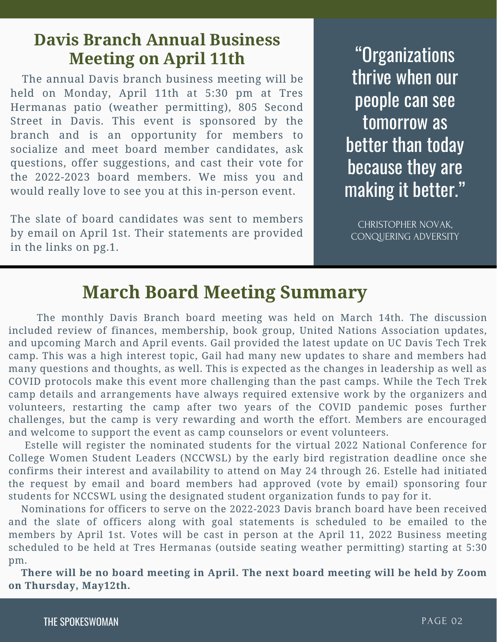## <span id="page-1-0"></span>**Davis Branch Annual Business Meeting on April 11th**

 The annual Davis branch business meeting will be held on Monday, April 11th at 5:30 pm at Tres Hermanas patio (weather permitting), 805 Second Street in Davis. This event is sponsored by the branch and is an opportunity for members to socialize and meet board member candidates, ask questions, offer suggestions, and cast their vote for the 2022-2023 board members. We miss you and would really love to see you at this in-person event.

The slate of board candidates was sent to members by email on April 1st. Their statements are provided in the links on pg.1.

"Organizations thrive when our people can see tomorrow as better than today because they are making it better."

CHRISTOPHER NOVAK, CONQUERING ADVERSITY

## **March Board Meeting Summary**

 The monthly Davis Branch board meeting was held on March 14th. The discussion included review of finances, membership, book group, United Nations Association updates, and upcoming March and April events. Gail provided the latest update on UC Davis Tech Trek camp. This was a high interest topic, Gail had many new updates to share and members had many questions and thoughts, as well. This is expected as the changes in leadership as well as COVID protocols make this event more challenging than the past camps. While the Tech Trek camp details and arrangements have always required extensive work by the organizers and volunteers, restarting the camp after two years of the COVID pandemic poses further challenges, but the camp is very rewarding and worth the effort. Members are encouraged and welcome to support the event as camp counselors or event volunteers.

 Estelle will register the nominated students for the virtual 2022 National Conference for College Women Student Leaders (NCCWSL) by the early bird registration deadline once she confirms their interest and availability to attend on May 24 through 26. Estelle had initiated the request by email and board members had approved (vote by email) sponsoring four students for NCCSWL using the designated student organization funds to pay for it.

 Nominations for officers to serve on the 2022-2023 Davis branch board have been received and the slate of officers along with goal statements is scheduled to be emailed to the members by April 1st. Votes will be cast in person at the April 11, 2022 Business meeting scheduled to be held at Tres Hermanas (outside seating weather permitting) starting at 5:30 pm.

 **There will be no board meeting in April. The next board meeting will be held by Zoom on Thursday, May12th.**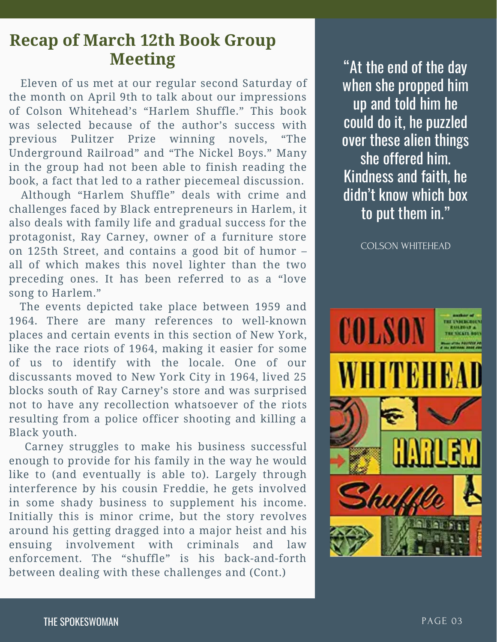## <span id="page-2-0"></span>**Recap of March 12th Book Group Meeting 1988 1989 1989 1989 1989 1989 1989 1989 1989 1989 1989 1989 1989 1989 1989 1989 1989 1989 1989 1989 1989 1989 1989 1989 1989 1989 1989 1989 1989 1989 1**

 Eleven of us met at our regular second Saturday of the month on April 9th to talk about our impressions of Colson Whitehead's "Harlem Shuffle." This book was selected because of the author's success with previous Pulitzer Prize winning novels, "The Underground Railroad" and "The Nickel Boys." Many in the group had not been able to finish reading the book, a fact that led to a rather piecemeal discussion.

 Although "Harlem Shuffle" deals with crime and challenges faced by Black entrepreneurs in Harlem, it also deals with family life and gradual success for the protagonist, Ray Carney, owner of a furniture store on 125th Street, and contains a good bit of humor – all of which makes this novel lighter than the two preceding ones. It has been referred to as a "love song to Harlem."

 The events depicted take place between 1959 and 1964. There are many references to well-known places and certain events in this section of New York, like the race riots of 1964, making it easier for some of us to identify with the locale. One of our discussants moved to New York City in 1964, lived 25 blocks south of Ray Carney's store and was surprised not to have any recollection whatsoever of the riots resulting from a police officer shooting and killing a Black youth.

 Carney struggles to make his business successful enough to provide for his family in the way he would like to (and eventually is able to). Largely through interference by his cousin Freddie, he gets involved in some shady business to supplement his income. Initially this is minor crime, but the story revolves around his getting dragged into a major heist and his ensuing involvement with criminals and law enforcement. The "shuffle" is his back-and-forth between dealing with these challenges and (Cont.)

when she propped him up and told him he could do it, he puzzled over these alien things she offered him. Kindness and faith, he didn't know which box to put them in."

COLSON WHITEHEAD

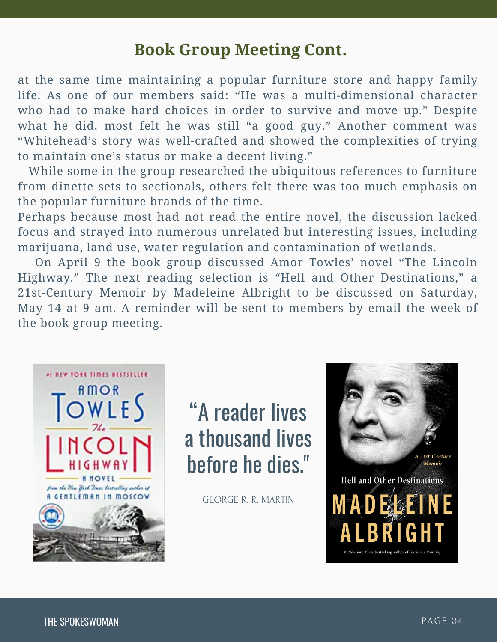## **Book Group Meeting Cont.**

at the same time maintaining a popular furniture store and happy family life. As one of our members said: "He was a multi-dimensional character who had to make hard choices in order to survive and move up." Despite what he did, most felt he was still "a good guy." Another comment was "Whitehead's story was well-crafted and showed the complexities of trying to maintain one's status or make a decent living."

 While some in the group researched the ubiquitous references to furniture from dinette sets to sectionals, others felt there was too much emphasis on the popular furniture brands of the time.

Perhaps because most had not read the entire novel, the discussion lacked focus and strayed into numerous unrelated but interesting issues, including marijuana, land use, water regulation and contamination of wetlands.

 On April 9 the book group discussed Amor Towles' novel "The Lincoln Highway." The next reading selection is "Hell and Other Destinations," a 21st-Century Memoir by Madeleine Albright to be discussed on Saturday, May 14 at 9 am. A reminder will be sent to members by email the week of the book group meeting.



"A reader lives a thousand lives before he dies."

GEORGE R. R. MARTIN

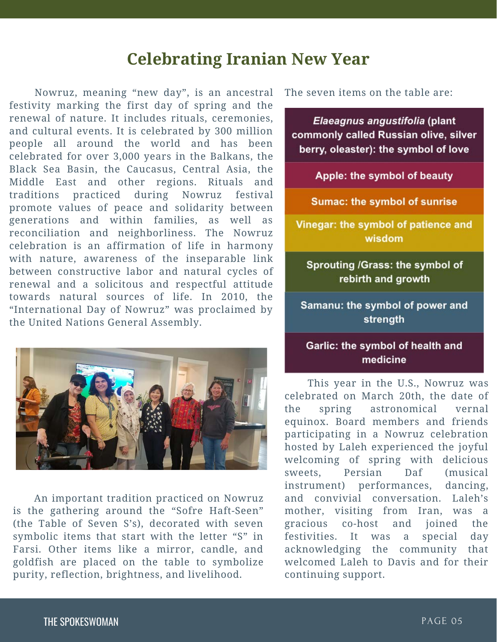## **Celebrating Iranian New Year**

<span id="page-4-0"></span> Nowruz, meaning "new day", is an ancestral festivity marking the first day of spring and the renewal of nature. It includes rituals, ceremonies, and cultural events. It is celebrated by 300 million people all around the world and has been celebrated for over 3,000 years in the Balkans, the Black Sea Basin, the Caucasus, Central Asia, the Middle East and other regions. Rituals and traditions practiced during Nowruz festival promote values of peace and solidarity between generations and within families, as well as reconciliation and neighborliness. The Nowruz celebration is an affirmation of life in harmony with nature, awareness of the inseparable link between constructive labor and natural cycles of renewal and a solicitous and respectful attitude towards natural sources of life. In 2010, the "International Day of Nowruz" was proclaimed by the United Nations General Assembly.



 An important tradition practiced on Nowruz is the gathering around the "Sofre Haft-Seen" (the Table of Seven S's), decorated with seven symbolic items that start with the letter "S" in Farsi. Other items like a mirror, candle, and goldfish are placed on the table to symbolize purity, reflection, brightness, and livelihood.

The seven items on the table are:

Elaeagnus angustifolia (plant commonly called Russian olive, silver berry, oleaster): the symbol of love

Apple: the symbol of beauty

**Sumac: the symbol of sunrise** 

Vinegar: the symbol of patience and wisdom

Sprouting /Grass: the symbol of rebirth and growth

Samanu: the symbol of power and strength

#### Garlic: the symbol of health and medicine

 This year in the U.S., Nowruz was celebrated on March 20th, the date of the spring astronomical vernal equinox. Board members and friends participating in a Nowruz celebration hosted by Laleh experienced the joyful welcoming of spring with delicious sweets, Persian Daf (musical instrument) performances, dancing, and convivial conversation. Laleh's mother, visiting from Iran, was a gracious co-host and joined the festivities. It was a special day acknowledging the community that welcomed Laleh to Davis and for their continuing support.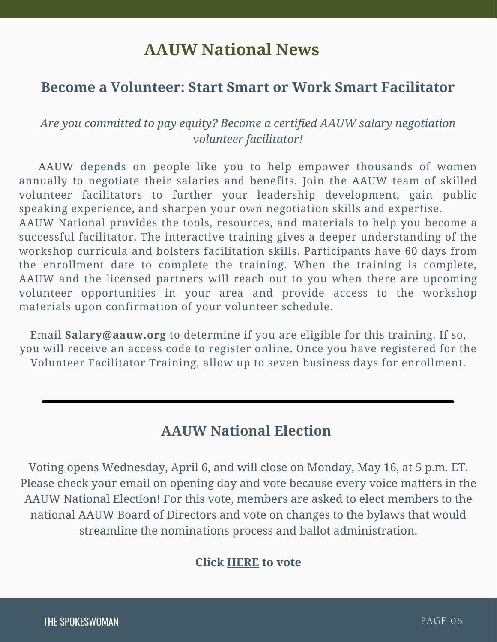## **AAUW National News**

### <span id="page-5-0"></span>**Become a Volunteer: Start Smart or Work Smart Facilitator**

### *Are you committed to pay equity? Become a certified AAUW salary negotiation volunteer facilitator!*

 AAUW depends on people like you to help empower thousands of women annually to negotiate their salaries and benefits. Join the AAUW team of skilled volunteer facilitators to further your leadership development, gain public speaking experience, and sharpen your own negotiation skills and expertise.

AAUW National provides the tools, resources, and materials to help you become a successful facilitator. The interactive training gives a deeper understanding of the workshop curricula and bolsters facilitation skills. Participants have 60 days from the enrollment date to complete the training. When the training is complete, AAUW and the licensed partners will reach out to you when there are upcoming volunteer opportunities in your area and provide access to the workshop materials upon confirmation of your volunteer schedule.

Email **[Salary@aauw.org](mailto:Salary@aauw.org)** to determine if you are eligible for this training. If so, you will receive an access code to register online. Once you have registered for the Volunteer Facilitator Training, allow up to seven business days for enrollment.

## **AAUW National Election**

Voting opens Wednesday, April 6, and will close on Monday, May 16, at 5 p.m. ET. Please check your email on opening day and vote because every voice matters in the [AAUW National Election!](https://www.aauw.org/resources/member/governance-tools/national-election/) For this vote, members are asked to elect members to the national AAUW Board of Directors and vote on changes to the bylaws that would streamline the nominations process and ballot administration.

### **Click [HERE](https://www.aauw.org/resources/member/governance-tools/national-election/) to vote**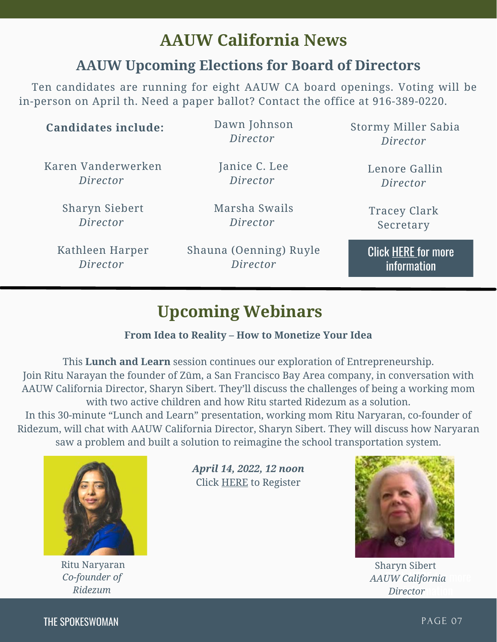## **AAUW California News**

## **AAUW Upcoming Elections for Board of Directors**

<span id="page-6-0"></span> [Ten candidates](https://aauw-ca.us2.list-manage.com/track/click?u=19f3eb2a88f3e5cfe13cf7d2e&id=44474b6f51&e=7cbc2be9d1) are running for eight AAUW CA board openings. Voting will be in-person on April th. Need a paper ballot? Contact the office at 916-389-0220.

| <b>Candidates include:</b> | Dawn Johnson<br>Director | Stormy Miller Sabia<br>Director |
|----------------------------|--------------------------|---------------------------------|
| Karen Vanderwerken         | Janice C. Lee            | Lenore Gallin                   |
| Director                   | Director                 | Director                        |
| <b>Sharyn Siebert</b>      | Marsha Swails            | <b>Tracey Clark</b>             |
| Director                   | Director                 | Secretary                       |
| Kathleen Harper            | Shauna (Oenning) Ruyle   | <b>Click HERE for more</b>      |
| Director                   | Director                 | information                     |

## **Upcoming Webinars**

#### **From Idea to Reality – How to Monetize Your Idea**

This **Lunch and Learn** session continues our exploration of Entrepreneurship. Join Ritu Narayan the founder of Zūm, a San Francisco Bay Area company, in conversation with AAUW California Director, Sharyn Sibert. They'll discuss the challenges of being a working mom with two active children and how Ritu started Ridezum as a solution.

In this 30-minute "Lunch and Learn" presentation, working mom Ritu Naryaran, co-founder of Ridezum, will chat with AAUW California Director, Sharyn Sibert. They will discuss how Naryaran saw a problem and built a solution to reimagine the school transportation system.



Ritu Naryaran *Co-founder of Ridezum*

COLSON WHITEHEAD *April 14, 2022, 12 noon* Click [HERE](https://us02web.zoom.us/webinar/register/WN_KoSqV6GVRZOPCh03wNsnyQ) to Register



*AAUW California Director* nation Sharyn Sibert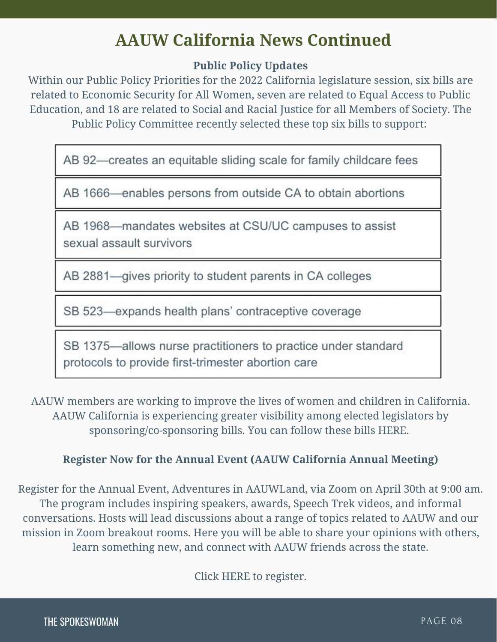## **AAUW California News Continued**

#### **Public Policy Updates**

Within our Public Policy Priorities for the 2022 California legislature session, six bills are related to Economic Security for All Women, seven are related to Equal Access to Public Education, and 18 are related to Social and Racial Justice for all Members of Society. The Public Policy Committee recently selected these top six bills to support:

AB 92-creates an equitable sliding scale for family childcare fees

AB 1666-enables persons from outside CA to obtain abortions

AB 1968-mandates websites at CSU/UC campuses to assist sexual assault survivors

AB 2881-gives priority to student parents in CA colleges

SB 523-expands health plans' contraceptive coverage

SB 1375-allows nurse practitioners to practice under standard protocols to provide first-trimester abortion care

AAUW members are working to improve the lives of women and children in California. AAUW California is experiencing greater visibility among elected legislators by sponsoring/co-sponsoring bills. You can follow these bills [HERE.](https://aauw-ca.us2.list-manage.com/track/click?u=19f3eb2a88f3e5cfe13cf7d2e&id=503b8c73be&e=7cbc2be9d1)

#### **Register Now for the Annual Event (AAUW California Annual Meeting)**

[Register](https://aauw-ca.us2.list-manage.com/track/click?u=19f3eb2a88f3e5cfe13cf7d2e&id=6962e21a38&e=7cbc2be9d1) for the Annual Event[, Adventures in AAUWLand,](https://aauw-ca.us2.list-manage.com/track/click?u=19f3eb2a88f3e5cfe13cf7d2e&id=08534284a9&e=7cbc2be9d1) via Zoom on April 30th at 9:00 am. The program includes inspiring speakers, awards, Speech Trek videos, and informal conversations. Hosts will lead discussions about a range of topics related to AAUW and our mission in Zoom breakout rooms. Here you will be able to share your opinions with others, learn something new, and connect with AAUW friends across the state.

Click [HERE](https://www.aauw-ca.org/2022-annual-event-a-real-adventure/) to register.